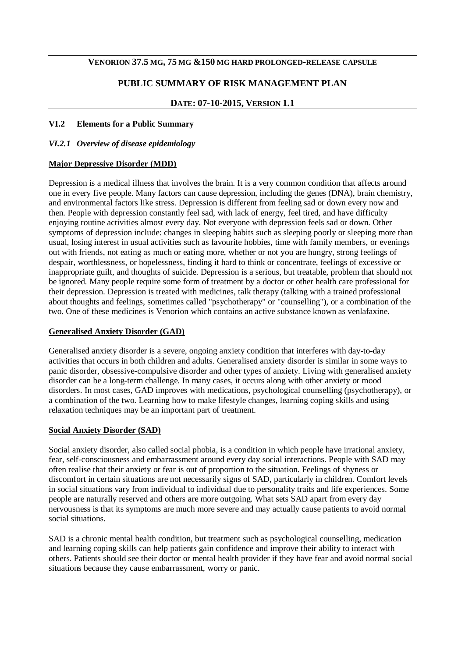#### **VENORION 37.5 MG, 75 MG &150 MG HARD PROLONGED-RELEASE CAPSULE**

## **PUBLIC SUMMARY OF RISK MANAGEMENT PLAN**

#### **DATE: 07-10-2015, VERSION 1.1**

#### **VI.2 Elements for a Public Summary**

#### *VI.2.1 Overview of disease epidemiology*

#### **Major Depressive Disorder (MDD)**

Depression is a medical illness that involves the brain. It is a very common condition that affects around one in every five people. Many factors can cause depression, including the genes (DNA), brain chemistry, and environmental factors like stress. Depression is different from feeling sad or down every now and then. People with depression constantly feel sad, with lack of energy, feel tired, and have difficulty enjoying routine activities almost every day. Not everyone with depression feels sad or down. Other symptoms of depression include: changes in sleeping habits such as sleeping poorly or sleeping more than usual, losing interest in usual activities such as favourite hobbies, time with family members, or evenings out with friends, not eating as much or eating more, whether or not you are hungry, strong feelings of despair, worthlessness, or hopelessness, finding it hard to think or concentrate, feelings of excessive or inappropriate guilt, and thoughts of suicide. Depression is a serious, but treatable, problem that should not be ignored. Many people require some form of treatment by a doctor or other health care professional for their depression. Depression is treated with medicines, talk therapy (talking with a trained professional about thoughts and feelings, sometimes called "psychotherapy" or "counselling"), or a combination of the two. One of these medicines is Venorion which contains an active substance known as venlafaxine.

#### **Generalised Anxiety Disorder (GAD)**

Generalised anxiety disorder is a severe, ongoing anxiety condition that interferes with day-to-day activities that occurs in both children and adults. Generalised anxiety disorder is similar in some ways to panic disorder, obsessive-compulsive disorder and other types of anxiety. Living with generalised anxiety disorder can be a long-term challenge. In many cases, it occurs along with other anxiety or mood disorders. In most cases, GAD improves with medications, psychological counselling (psychotherapy), or a combination of the two. Learning how to make lifestyle changes, learning coping skills and using relaxation techniques may be an important part of treatment.

#### **Social Anxiety Disorder (SAD)**

Social anxiety disorder, also called social phobia, is a condition in which people have irrational anxiety, fear, self-consciousness and embarrassment around every day social interactions. People with SAD may often realise that their anxiety or fear is out of proportion to the situation. Feelings of shyness or discomfort in certain situations are not necessarily signs of SAD, particularly in children. Comfort levels in social situations vary from individual to individual due to personality traits and life experiences. Some people are naturally reserved and others are more outgoing. What sets SAD apart from every day nervousness is that its symptoms are much more severe and may actually cause patients to avoid normal social situations.

SAD is a chronic mental health condition, but treatment such as psychological counselling, medication and learning coping skills can help patients gain confidence and improve their ability to interact with others. Patients should see their doctor or mental health provider if they have fear and avoid normal social situations because they cause embarrassment, worry or panic.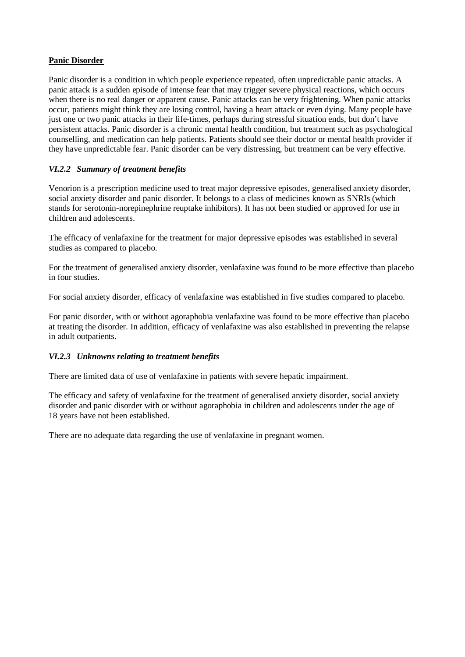## **Panic Disorder**

Panic disorder is a condition in which people experience repeated, often unpredictable panic attacks. A panic attack is a sudden episode of intense fear that may trigger severe physical reactions, which occurs when there is no real danger or apparent cause. Panic attacks can be very frightening. When panic attacks occur, patients might think they are losing control, having a heart attack or even dying. Many people have just one or two panic attacks in their life-times, perhaps during stressful situation ends, but don't have persistent attacks. Panic disorder is a chronic mental health condition, but treatment such as psychological counselling, and medication can help patients. Patients should see their doctor or mental health provider if they have unpredictable fear. Panic disorder can be very distressing, but treatment can be very effective.

## *VI.2.2 Summary of treatment benefits*

Venorion is a prescription medicine used to treat major depressive episodes, generalised anxiety disorder, social anxiety disorder and panic disorder. It belongs to a class of medicines known as SNRIs (which stands for serotonin-norepinephrine reuptake inhibitors). It has not been studied or approved for use in children and adolescents.

The efficacy of venlafaxine for the treatment for major depressive episodes was established in several studies as compared to placebo.

For the treatment of generalised anxiety disorder, venlafaxine was found to be more effective than placebo in four studies.

For social anxiety disorder, efficacy of venlafaxine was established in five studies compared to placebo.

For panic disorder, with or without agoraphobia venlafaxine was found to be more effective than placebo at treating the disorder. In addition, efficacy of venlafaxine was also established in preventing the relapse in adult outpatients.

## *VI.2.3 Unknowns relating to treatment benefits*

There are limited data of use of venlafaxine in patients with severe hepatic impairment.

The efficacy and safety of venlafaxine for the treatment of generalised anxiety disorder, social anxiety disorder and panic disorder with or without agoraphobia in children and adolescents under the age of 18 years have not been established.

There are no adequate data regarding the use of venlafaxine in pregnant women.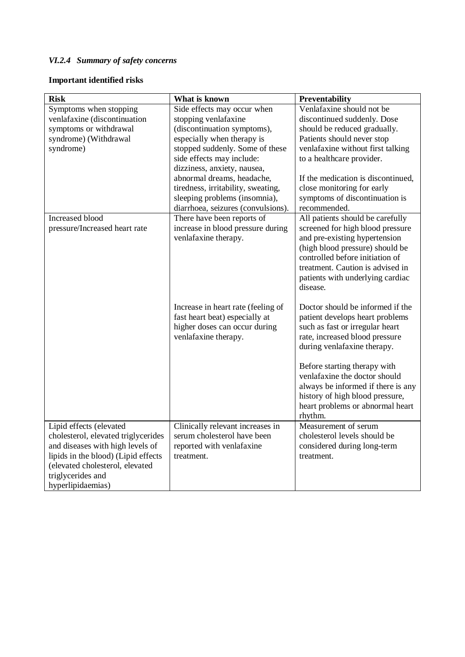# *VI.2.4 Summary of safety concerns*

## **Important identified risks**

| <b>Risk</b>                                                                                                                                                                                                            | What is known                                                                                                                                                                                                   | Preventability                                                                                                                                                                                                                                                                                                                                                   |
|------------------------------------------------------------------------------------------------------------------------------------------------------------------------------------------------------------------------|-----------------------------------------------------------------------------------------------------------------------------------------------------------------------------------------------------------------|------------------------------------------------------------------------------------------------------------------------------------------------------------------------------------------------------------------------------------------------------------------------------------------------------------------------------------------------------------------|
| Symptoms when stopping<br>venlafaxine (discontinuation<br>symptoms or withdrawal<br>syndrome) (Withdrawal<br>syndrome)                                                                                                 | Side effects may occur when<br>stopping venlafaxine<br>(discontinuation symptoms),<br>especially when therapy is<br>stopped suddenly. Some of these<br>side effects may include:<br>dizziness, anxiety, nausea, | Venlafaxine should not be<br>discontinued suddenly. Dose<br>should be reduced gradually.<br>Patients should never stop<br>venlafaxine without first talking<br>to a healthcare provider.                                                                                                                                                                         |
|                                                                                                                                                                                                                        | abnormal dreams, headache,<br>tiredness, irritability, sweating,<br>sleeping problems (insomnia),<br>diarrhoea, seizures (convulsions).                                                                         | If the medication is discontinued,<br>close monitoring for early<br>symptoms of discontinuation is<br>recommended.                                                                                                                                                                                                                                               |
| <b>Increased blood</b><br>pressure/Increased heart rate                                                                                                                                                                | There have been reports of<br>increase in blood pressure during<br>venlafaxine therapy.                                                                                                                         | All patients should be carefully<br>screened for high blood pressure<br>and pre-existing hypertension<br>(high blood pressure) should be<br>controlled before initiation of<br>treatment. Caution is advised in<br>patients with underlying cardiac<br>disease.                                                                                                  |
|                                                                                                                                                                                                                        | Increase in heart rate (feeling of<br>fast heart beat) especially at<br>higher doses can occur during<br>venlafaxine therapy.                                                                                   | Doctor should be informed if the<br>patient develops heart problems<br>such as fast or irregular heart<br>rate, increased blood pressure<br>during venlafaxine therapy.<br>Before starting therapy with<br>venlafaxine the doctor should<br>always be informed if there is any<br>history of high blood pressure,<br>heart problems or abnormal heart<br>rhythm. |
| Lipid effects (elevated<br>cholesterol, elevated triglycerides<br>and diseases with high levels of<br>lipids in the blood) (Lipid effects<br>(elevated cholesterol, elevated<br>triglycerides and<br>hyperlipidaemias) | Clinically relevant increases in<br>serum cholesterol have been<br>reported with venlafaxine<br>treatment.                                                                                                      | Measurement of serum<br>cholesterol levels should be<br>considered during long-term<br>treatment.                                                                                                                                                                                                                                                                |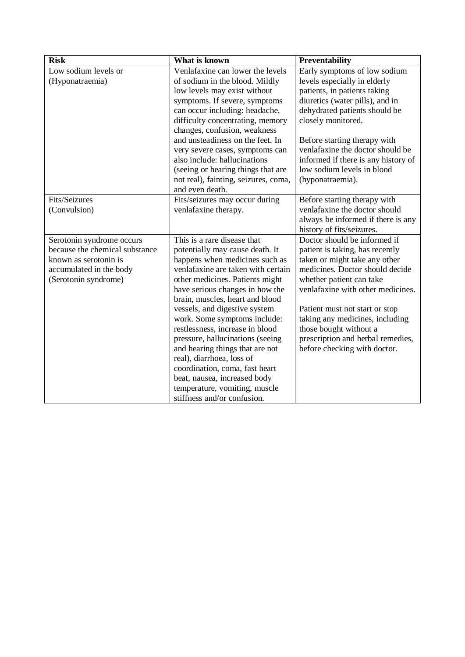| <b>Risk</b>                    | What is known                        | Preventability                      |
|--------------------------------|--------------------------------------|-------------------------------------|
| Low sodium levels or           | Venlafaxine can lower the levels     | Early symptoms of low sodium        |
| (Hyponatraemia)                | of sodium in the blood. Mildly       | levels especially in elderly        |
|                                | low levels may exist without         | patients, in patients taking        |
|                                | symptoms. If severe, symptoms        | diuretics (water pills), and in     |
|                                | can occur including: headache,       | dehydrated patients should be       |
|                                | difficulty concentrating, memory     | closely monitored.                  |
|                                | changes, confusion, weakness         |                                     |
|                                | and unsteadiness on the feet. In     | Before starting therapy with        |
|                                | very severe cases, symptoms can      | venlafaxine the doctor should be    |
|                                | also include: hallucinations         | informed if there is any history of |
|                                | (seeing or hearing things that are   | low sodium levels in blood          |
|                                | not real), fainting, seizures, coma, | (hyponatraemia).                    |
|                                | and even death.                      |                                     |
| Fits/Seizures                  | Fits/seizures may occur during       | Before starting therapy with        |
| (Convulsion)                   | venlafaxine therapy.                 | venlafaxine the doctor should       |
|                                |                                      | always be informed if there is any  |
|                                |                                      | history of fits/seizures.           |
| Serotonin syndrome occurs      | This is a rare disease that          | Doctor should be informed if        |
| because the chemical substance | potentially may cause death. It      | patient is taking, has recently     |
| known as serotonin is          | happens when medicines such as       | taken or might take any other       |
| accumulated in the body        | venlafaxine are taken with certain   | medicines. Doctor should decide     |
| (Serotonin syndrome)           | other medicines. Patients might      | whether patient can take            |
|                                | have serious changes in how the      | venlafaxine with other medicines.   |
|                                | brain, muscles, heart and blood      |                                     |
|                                | vessels, and digestive system        | Patient must not start or stop      |
|                                | work. Some symptoms include:         | taking any medicines, including     |
|                                | restlessness, increase in blood      | those bought without a              |
|                                | pressure, hallucinations (seeing     | prescription and herbal remedies,   |
|                                | and hearing things that are not      | before checking with doctor.        |
|                                | real), diarrhoea, loss of            |                                     |
|                                | coordination, coma, fast heart       |                                     |
|                                | beat, nausea, increased body         |                                     |
|                                | temperature, vomiting, muscle        |                                     |
|                                | stiffness and/or confusion.          |                                     |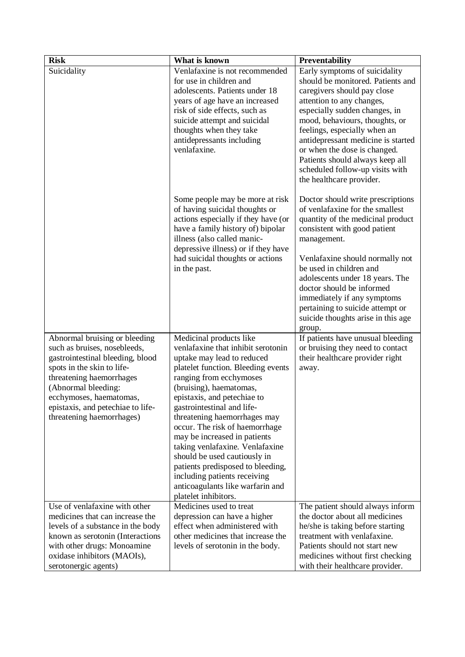| <b>Risk</b>                                                    | What is known                                                         | Preventability                                                       |
|----------------------------------------------------------------|-----------------------------------------------------------------------|----------------------------------------------------------------------|
| Suicidality                                                    | Venlafaxine is not recommended                                        | Early symptoms of suicidality                                        |
|                                                                | for use in children and                                               | should be monitored. Patients and                                    |
|                                                                | adolescents. Patients under 18                                        | caregivers should pay close                                          |
|                                                                | years of age have an increased                                        | attention to any changes,                                            |
|                                                                | risk of side effects, such as                                         | especially sudden changes, in                                        |
|                                                                | suicide attempt and suicidal                                          | mood, behaviours, thoughts, or                                       |
|                                                                | thoughts when they take                                               | feelings, especially when an                                         |
|                                                                | antidepressants including                                             | antidepressant medicine is started                                   |
|                                                                | venlafaxine.                                                          | or when the dose is changed.                                         |
|                                                                |                                                                       | Patients should always keep all                                      |
|                                                                |                                                                       | scheduled follow-up visits with                                      |
|                                                                |                                                                       | the healthcare provider.                                             |
|                                                                |                                                                       |                                                                      |
|                                                                | Some people may be more at risk                                       | Doctor should write prescriptions<br>of venlafaxine for the smallest |
|                                                                | of having suicidal thoughts or<br>actions especially if they have (or | quantity of the medicinal product                                    |
|                                                                | have a family history of) bipolar                                     | consistent with good patient                                         |
|                                                                | illness (also called manic-                                           | management.                                                          |
|                                                                | depressive illness) or if they have                                   |                                                                      |
|                                                                | had suicidal thoughts or actions                                      | Venlafaxine should normally not                                      |
|                                                                | in the past.                                                          | be used in children and                                              |
|                                                                |                                                                       | adolescents under 18 years. The                                      |
|                                                                |                                                                       | doctor should be informed                                            |
|                                                                |                                                                       | immediately if any symptoms                                          |
|                                                                |                                                                       | pertaining to suicide attempt or                                     |
|                                                                |                                                                       | suicide thoughts arise in this age                                   |
|                                                                |                                                                       | group.                                                               |
| Abnormal bruising or bleeding                                  | Medicinal products like                                               | If patients have unusual bleeding                                    |
| such as bruises, nosebleeds,                                   | venlafaxine that inhibit serotonin                                    | or bruising they need to contact                                     |
| gastrointestinal bleeding, blood<br>spots in the skin to life- | uptake may lead to reduced                                            | their healthcare provider right                                      |
| threatening haemorrhages                                       | platelet function. Bleeding events<br>ranging from ecchymoses         | away.                                                                |
| (Abnormal bleeding:                                            | (bruising), haematomas,                                               |                                                                      |
| ecchymoses, haematomas,                                        | epistaxis, and petechiae to                                           |                                                                      |
| epistaxis, and petechiae to life-                              | gastrointestinal and life-                                            |                                                                      |
| threatening haemorrhages)                                      | threatening haemorrhages may                                          |                                                                      |
|                                                                | occur. The risk of haemorrhage                                        |                                                                      |
|                                                                | may be increased in patients                                          |                                                                      |
|                                                                | taking venlafaxine. Venlafaxine                                       |                                                                      |
|                                                                | should be used cautiously in                                          |                                                                      |
|                                                                | patients predisposed to bleeding,                                     |                                                                      |
|                                                                | including patients receiving                                          |                                                                      |
|                                                                | anticoagulants like warfarin and                                      |                                                                      |
|                                                                | platelet inhibitors.                                                  |                                                                      |
| Use of venlafaxine with other                                  | Medicines used to treat                                               | The patient should always inform                                     |
| medicines that can increase the                                | depression can have a higher                                          | the doctor about all medicines                                       |
| levels of a substance in the body                              | effect when administered with                                         | he/she is taking before starting                                     |
| known as serotonin (Interactions                               | other medicines that increase the                                     | treatment with venlafaxine.                                          |
| with other drugs: Monoamine                                    | levels of serotonin in the body.                                      | Patients should not start new                                        |
| oxidase inhibitors (MAOIs),                                    |                                                                       | medicines without first checking                                     |
| serotonergic agents)                                           |                                                                       | with their healthcare provider.                                      |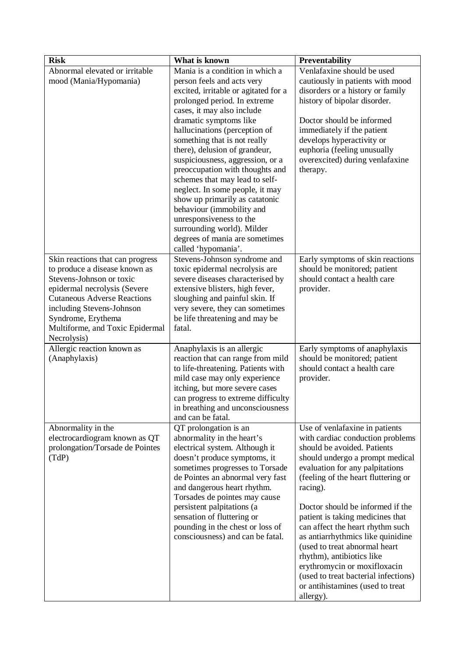| <b>Risk</b>                                                                                                                                                                                                                                                              | What is known                                                                                                                                                                                                                                                                                                                                                                                                                                                                                                                                                                                                                | Preventability                                                                                                                                                                                                                                                                                                                                                                                                                                                                                                                                                     |
|--------------------------------------------------------------------------------------------------------------------------------------------------------------------------------------------------------------------------------------------------------------------------|------------------------------------------------------------------------------------------------------------------------------------------------------------------------------------------------------------------------------------------------------------------------------------------------------------------------------------------------------------------------------------------------------------------------------------------------------------------------------------------------------------------------------------------------------------------------------------------------------------------------------|--------------------------------------------------------------------------------------------------------------------------------------------------------------------------------------------------------------------------------------------------------------------------------------------------------------------------------------------------------------------------------------------------------------------------------------------------------------------------------------------------------------------------------------------------------------------|
| Abnormal elevated or irritable<br>mood (Mania/Hypomania)                                                                                                                                                                                                                 | Mania is a condition in which a<br>person feels and acts very<br>excited, irritable or agitated for a<br>prolonged period. In extreme<br>cases, it may also include<br>dramatic symptoms like<br>hallucinations (perception of<br>something that is not really<br>there), delusion of grandeur,<br>suspiciousness, aggression, or a<br>preoccupation with thoughts and<br>schemes that may lead to self-<br>neglect. In some people, it may<br>show up primarily as catatonic<br>behaviour (immobility and<br>unresponsiveness to the<br>surrounding world). Milder<br>degrees of mania are sometimes<br>called 'hypomania'. | Venlafaxine should be used<br>cautiously in patients with mood<br>disorders or a history or family<br>history of bipolar disorder.<br>Doctor should be informed<br>immediately if the patient<br>develops hyperactivity or<br>euphoria (feeling unusually<br>overexcited) during venlafaxine<br>therapy.                                                                                                                                                                                                                                                           |
| Skin reactions that can progress<br>to produce a disease known as<br>Stevens-Johnson or toxic<br>epidermal necrolysis (Severe<br><b>Cutaneous Adverse Reactions</b><br>including Stevens-Johnson<br>Syndrome, Erythema<br>Multiforme, and Toxic Epidermal<br>Necrolysis) | Stevens-Johnson syndrome and<br>toxic epidermal necrolysis are<br>severe diseases characterised by<br>extensive blisters, high fever,<br>sloughing and painful skin. If<br>very severe, they can sometimes<br>be life threatening and may be<br>fatal.                                                                                                                                                                                                                                                                                                                                                                       | Early symptoms of skin reactions<br>should be monitored; patient<br>should contact a health care<br>provider.                                                                                                                                                                                                                                                                                                                                                                                                                                                      |
| Allergic reaction known as<br>(Anaphylaxis)                                                                                                                                                                                                                              | Anaphylaxis is an allergic<br>reaction that can range from mild<br>to life-threatening. Patients with<br>mild case may only experience<br>itching, but more severe cases<br>can progress to extreme difficulty<br>in breathing and unconsciousness<br>and can be fatal.                                                                                                                                                                                                                                                                                                                                                      | Early symptoms of anaphylaxis<br>should be monitored; patient<br>should contact a health care<br>provider.                                                                                                                                                                                                                                                                                                                                                                                                                                                         |
| Abnormality in the<br>electrocardiogram known as QT<br>prolongation/Torsade de Pointes<br>(TdP)                                                                                                                                                                          | QT prolongation is an<br>abnormality in the heart's<br>electrical system. Although it<br>doesn't produce symptoms, it<br>sometimes progresses to Torsade<br>de Pointes an abnormal very fast<br>and dangerous heart rhythm.<br>Torsades de pointes may cause<br>persistent palpitations (a<br>sensation of fluttering or<br>pounding in the chest or loss of<br>consciousness) and can be fatal.                                                                                                                                                                                                                             | Use of venlafaxine in patients<br>with cardiac conduction problems<br>should be avoided. Patients<br>should undergo a prompt medical<br>evaluation for any palpitations<br>(feeling of the heart fluttering or<br>racing).<br>Doctor should be informed if the<br>patient is taking medicines that<br>can affect the heart rhythm such<br>as antiarrhythmics like quinidine<br>(used to treat abnormal heart<br>rhythm), antibiotics like<br>erythromycin or moxifloxacin<br>(used to treat bacterial infections)<br>or antihistamines (used to treat<br>allergy). |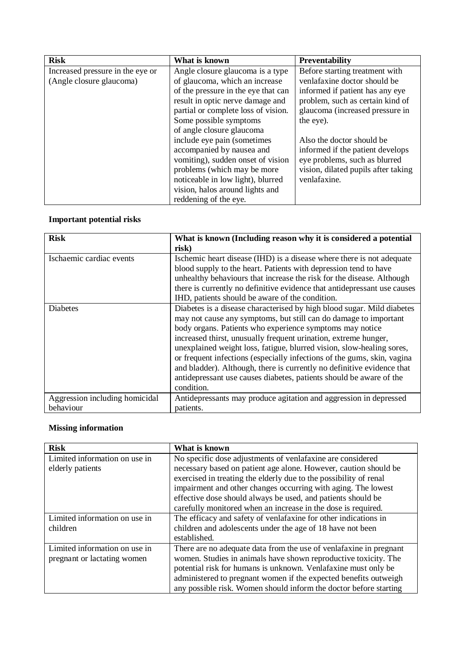| <b>Risk</b>                      | What is known                       | Preventability                      |
|----------------------------------|-------------------------------------|-------------------------------------|
| Increased pressure in the eye or | Angle closure glaucoma is a type    | Before starting treatment with      |
| (Angle closure glaucoma)         | of glaucoma, which an increase      | venlafaxine doctor should be        |
|                                  | of the pressure in the eye that can | informed if patient has any eye     |
|                                  | result in optic nerve damage and    | problem, such as certain kind of    |
|                                  | partial or complete loss of vision. | glaucoma (increased pressure in     |
|                                  | Some possible symptoms              | the eye).                           |
|                                  | of angle closure glaucoma           |                                     |
|                                  | include eye pain (sometimes         | Also the doctor should be           |
|                                  | accompanied by nausea and           | informed if the patient develops    |
|                                  | vomiting), sudden onset of vision   | eye problems, such as blurred       |
|                                  | problems (which may be more         | vision, dilated pupils after taking |
|                                  | noticeable in low light), blurred   | venlafaxine.                        |
|                                  | vision, halos around lights and     |                                     |
|                                  | reddening of the eye.               |                                     |

## **Important potential risks**

| <b>Risk</b>                    | What is known (Including reason why it is considered a potential         |
|--------------------------------|--------------------------------------------------------------------------|
|                                | risk)                                                                    |
| Ischaemic cardiac events       | Ischemic heart disease (IHD) is a disease where there is not adequate    |
|                                | blood supply to the heart. Patients with depression tend to have         |
|                                | unhealthy behaviours that increase the risk for the disease. Although    |
|                                | there is currently no definitive evidence that antidepressant use causes |
|                                | IHD, patients should be aware of the condition.                          |
| <b>Diabetes</b>                | Diabetes is a disease characterised by high blood sugar. Mild diabetes   |
|                                | may not cause any symptoms, but still can do damage to important         |
|                                | body organs. Patients who experience symptoms may notice                 |
|                                | increased thirst, unusually frequent urination, extreme hunger,          |
|                                | unexplained weight loss, fatigue, blurred vision, slow-healing sores,    |
|                                | or frequent infections (especially infections of the gums, skin, vagina  |
|                                | and bladder). Although, there is currently no definitive evidence that   |
|                                | antidepressant use causes diabetes, patients should be aware of the      |
|                                | condition.                                                               |
| Aggression including homicidal | Antidepressants may produce agitation and aggression in depressed        |
| behaviour                      | patients.                                                                |

# **Missing information**

| <b>Risk</b>                   | What is known                                                      |
|-------------------------------|--------------------------------------------------------------------|
| Limited information on use in | No specific dose adjustments of venlafaxine are considered         |
| elderly patients              | necessary based on patient age alone. However, caution should be   |
|                               | exercised in treating the elderly due to the possibility of renal  |
|                               | impairment and other changes occurring with aging. The lowest      |
|                               | effective dose should always be used, and patients should be       |
|                               | carefully monitored when an increase in the dose is required.      |
| Limited information on use in | The efficacy and safety of venlafaxine for other indications in    |
| children                      | children and adolescents under the age of 18 have not been         |
|                               | established.                                                       |
| Limited information on use in | There are no adequate data from the use of venlafaxine in pregnant |
| pregnant or lactating women   | women. Studies in animals have shown reproductive toxicity. The    |
|                               | potential risk for humans is unknown. Venlafaxine must only be     |
|                               | administered to pregnant women if the expected benefits outweigh   |
|                               | any possible risk. Women should inform the doctor before starting  |